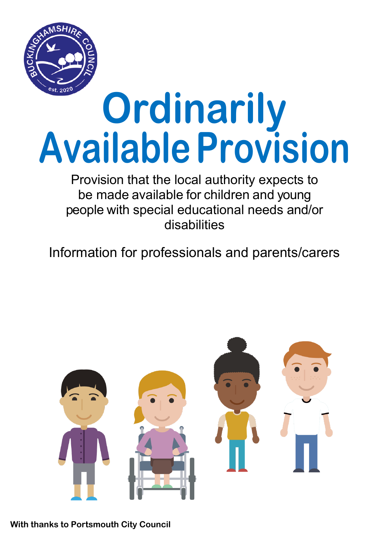

# **Ordinarily AvailableProvision**

Provision that the local authority expects to be made available for children and young people with special educational needs and/or disabilities

Information for professionals and parents/carers



**With thanks to Portsmouth City Council**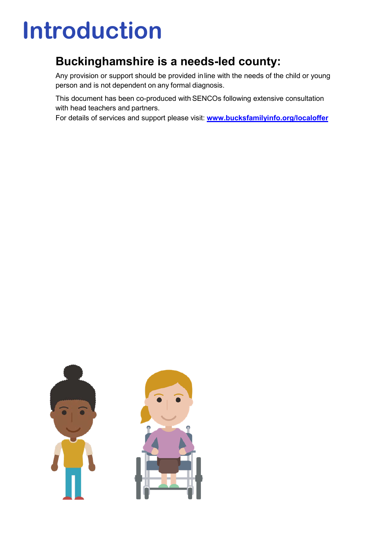# **Introduction**

## **Buckinghamshire is a needs-led county:**

Any provision or support should be provided inline with the needs of the child or young person and is not dependent on any formal diagnosis.

This document has been co-produced with SENCOs following extensive consultation with head teachers and partners.

For details of services and support please visit: **[www.bucksfamilyinfo.org/localoffer](http://www.bucksfamilyinfo.org/localoffer)** 

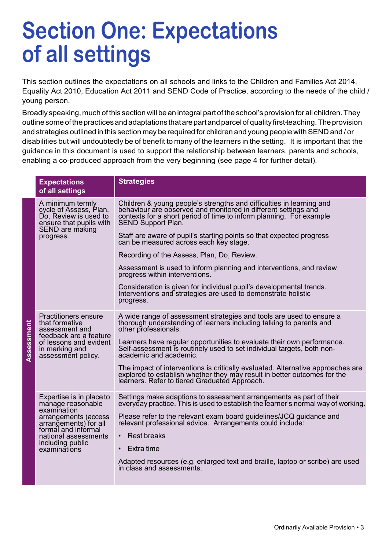# **Section One: Expectations of all settings**

This section outlines the expectations on all schools and links to the Children and Families Act 2014, Equality Act 2010, Education Act 2011 and SEND Code of Practice, according to the needs of the child / young person.

Broadly speaking, muchofthis sectionwill be an integral partofthe school's provision forall children.They outline some of the practices and adaptations that are part and parcel of quality first-teaching. The provision and strategies outlined in this section may be required for children and young people with SEND and / or disabilities but will undoubtedly be of benefit to many of the learners in the setting. It is important that the guidance in this document is used to support the relationship between learners, parents and schools, enabling a co-produced approach from the very beginning (see page 4 for further detail).

|            | <b>Expectations</b><br>of all settings                                                                                                                                                           | <b>Strategies</b>                                                                                                                                                                                                                                                                                                                                                                                                                                                                                                                                                                                                                                                        |
|------------|--------------------------------------------------------------------------------------------------------------------------------------------------------------------------------------------------|--------------------------------------------------------------------------------------------------------------------------------------------------------------------------------------------------------------------------------------------------------------------------------------------------------------------------------------------------------------------------------------------------------------------------------------------------------------------------------------------------------------------------------------------------------------------------------------------------------------------------------------------------------------------------|
| Assessment | A minimum termly<br>cycle of Assess, Plan,<br>Do, Review is used to<br>ensure that pupils with<br>SEND are making<br>progress.                                                                   | Children & young people's strengths and difficulties in learning and<br>behaviour are observed and monitored in different settings and<br>contexts for a short period of time to inform planning. For example<br><b>SEND Support Plan.</b><br>Staff are aware of pupil's starting points so that expected progress<br>can be measured across each key stage.<br>Recording of the Assess, Plan, Do, Review.<br>Assessment is used to inform planning and interventions, and review<br>progress within interventions.<br>Consideration is given for individual pupil's developmental trends.<br>Interventions and strategies are used to demonstrate holistic<br>progress. |
|            | <b>Practitioners ensure</b><br>that formative<br>assessment and<br>feedback are a feature<br>of lessons and evident<br>in marking and<br>assessment policy.                                      | A wide range of assessment strategies and tools are used to ensure a<br>thorough understanding of learners including talking to parents and<br>other professionals.<br>Learners have regular opportunities to evaluate their own performance.<br>Self-assessment is routinely used to set individual targets, both non-<br>academic and academic.<br>The impact of interventions is critically evaluated. Alternative approaches are<br>explored to establish whether they may result in better outcomes for the<br>learners. Refer to tiered Graduated Approach.                                                                                                        |
|            | Expertise is in place to<br>manage reasonable<br>examination<br>arrangements (access<br>arrangements) for all<br>formal and informal<br>national assessments<br>including public<br>examinations | Settings make adaptions to assessment arrangements as part of their<br>everyday practice. This is used to establish the learner's normal way of working.<br>Please refer to the relevant exam board guidelines/JCQ guidance and<br>relevant professional advice. Arrangements could include:<br>• Rest breaks<br>$\cdot$ Extra time<br>Adapted resources (e.g. enlarged text and braille, laptop or scribe) are used<br>in class and assessments.                                                                                                                                                                                                                        |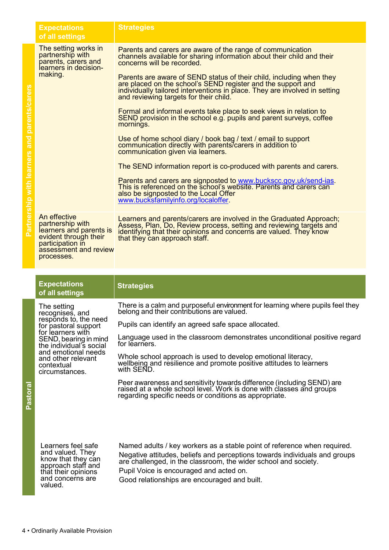|                                              | <b>Expectations</b><br>of all settings                                                                                                          | <b>Strategies</b>                                                                                                                                                                                                                                                                                                    |
|----------------------------------------------|-------------------------------------------------------------------------------------------------------------------------------------------------|----------------------------------------------------------------------------------------------------------------------------------------------------------------------------------------------------------------------------------------------------------------------------------------------------------------------|
| Partnership with learners and parents/carers | The setting works in<br>partnership with<br>parents, carers and<br>learners in decision-                                                        | Parents and carers are aware of the range of communication<br>channels available for sharing information about their child and their<br>concerns will be recorded.                                                                                                                                                   |
|                                              | making.                                                                                                                                         | Parents are aware of SEND status of their child, including when they<br>are placed on the school's SEND register and the support and<br>individually tailored interventions in place. They are involved in setting<br>and reviewing targets for their child.                                                         |
|                                              |                                                                                                                                                 | Formal and informal events take place to seek views in relation to<br>SEND provision in the school e.g. pupils and parent surveys, coffee<br>mornings.                                                                                                                                                               |
|                                              |                                                                                                                                                 | Use of home school diary / book bag / text / email to support<br>communication directly with parents/carers in addition to<br>communication given via learners.                                                                                                                                                      |
|                                              |                                                                                                                                                 | The SEND information report is co-produced with parents and carers.                                                                                                                                                                                                                                                  |
|                                              |                                                                                                                                                 | Parents and carers are signposted to www.buckscc.gov.uk/send-ias.<br>This is referenced on the school's website. Parents and carers can<br>also be signposted to the Local Offer<br>www.bucksfamilyinfo.org/localoffer.                                                                                              |
|                                              | An effective<br>partnership with<br>learners and parents is<br>evident through their<br>participation in<br>assessment and review<br>processes. | Learners and parents/carers are involved in the Graduated Approach;<br>Assess, Plan, Do, Review process, setting and reviewing targets and<br>identifying that their opinions and concerns are valued. They know<br>that they can approach staff.                                                                    |
|                                              |                                                                                                                                                 |                                                                                                                                                                                                                                                                                                                      |
|                                              |                                                                                                                                                 |                                                                                                                                                                                                                                                                                                                      |
|                                              | <b>Expectations</b><br>of all settings                                                                                                          | <b>Strategies</b>                                                                                                                                                                                                                                                                                                    |
|                                              | The setting<br>recognises, and                                                                                                                  | There is a calm and purposeful environment for learning where pupils feel they<br>belong and their contributions are valued.                                                                                                                                                                                         |
|                                              | responds to, the need<br>for pastoral support                                                                                                   | Pupils can identify an agreed safe space allocated.                                                                                                                                                                                                                                                                  |
|                                              | for learners with<br>SEND, bearing in mind<br>the individual's social                                                                           | Language used in the classroom demonstrates unconditional positive regard<br>for learners.                                                                                                                                                                                                                           |
|                                              | and emotional needs<br>and other relevant<br>contextual<br>circumstances.                                                                       | Whole school approach is used to develop emotional literacy,<br>wellbeing and resilience and promote positive attitudes to learners<br>with SEND.                                                                                                                                                                    |
| Pastoral                                     |                                                                                                                                                 | Peer awareness and sensitivity towards difference (including SEND) are<br>raised at a whole school level. Work is done with classes and groups<br>regarding specific needs or conditions as appropriate.                                                                                                             |
|                                              | Learners feel safe<br>and valued. They<br>know that they can<br>approach staff and<br>that their opinions<br>and concerns are<br>valued.        | Named adults / key workers as a stable point of reference when required.<br>Negative attitudes, beliefs and perceptions towards individuals and groups<br>are challenged, in the classroom, the wider school and society.<br>Pupil Voice is encouraged and acted on.<br>Good relationships are encouraged and built. |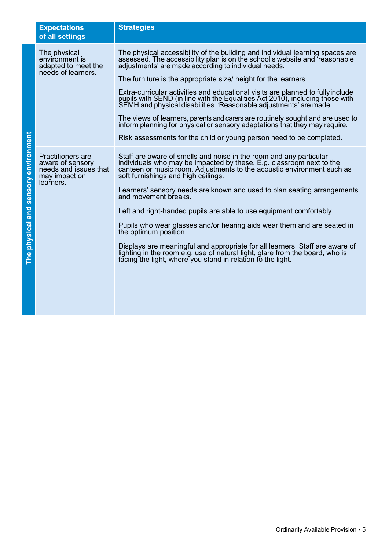| <b>Expectations</b><br>of all settings                                                       | <b>Strategies</b>                                                                                                                                                                                                                                                                                                                                                                                                                                                                                                                                                                                                                                                                                                                                                        |
|----------------------------------------------------------------------------------------------|--------------------------------------------------------------------------------------------------------------------------------------------------------------------------------------------------------------------------------------------------------------------------------------------------------------------------------------------------------------------------------------------------------------------------------------------------------------------------------------------------------------------------------------------------------------------------------------------------------------------------------------------------------------------------------------------------------------------------------------------------------------------------|
| The physical<br>environment is<br>adapted to meet the<br>needs of learners.                  | The physical accessibility of the building and individual learning spaces are<br>assessed. The accessibility plan is on the school's website and reasonable<br>adjustments' are made according to individual needs.<br>The furniture is the appropriate size/ height for the learners.<br>Extra-curricular activities and educational visits are planned to fully include<br>pupils with SEND (in line with the Equalities Act 2010), including those with<br>SEMH and physical disabilities. Reasonable adjustments' are made.<br>The views of learners, parents and carers are routinely sought and are used to<br>inform planning for physical or sensory adaptations that they may require.<br>Risk assessments for the child or young person need to be completed.  |
| Practitioners are<br>aware of sensory<br>needs and issues that<br>may impact on<br>learners. | Staff are aware of smells and noise in the room and any particular<br>individuals who may be impacted by these. E.g. classroom next to the<br>canteen or music room. Adjustments to the acoustic environment such as<br>soft furnishings and high ceilings.<br>Learners' sensory needs are known and used to plan seating arrangements<br>and movement breaks.<br>Left and right-handed pupils are able to use equipment comfortably.<br>Pupils who wear glasses and/or hearing aids wear them and are seated in<br>the optimum position.<br>Displays are meaningful and appropriate for all learners. Staff are aware of<br>lighting in the room e.g. use of natural light, glare from the board, who is<br>facing the light, where you stand in relation to the light. |

The physical and sensory environment **The physical and sensory environment**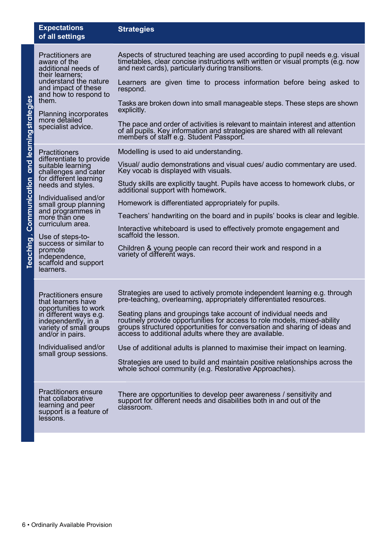|                                                | <b>Expectations</b><br>of all settings                                                                                                                                                                                                                                                                                                                                | <b>Strategies</b>                                                                                                                                                                                                                                                                                                                                                                                                                                                                                                                                                                                                                                                                                                                                                                                                       |
|------------------------------------------------|-----------------------------------------------------------------------------------------------------------------------------------------------------------------------------------------------------------------------------------------------------------------------------------------------------------------------------------------------------------------------|-------------------------------------------------------------------------------------------------------------------------------------------------------------------------------------------------------------------------------------------------------------------------------------------------------------------------------------------------------------------------------------------------------------------------------------------------------------------------------------------------------------------------------------------------------------------------------------------------------------------------------------------------------------------------------------------------------------------------------------------------------------------------------------------------------------------------|
| Teaching, Communication and learningstrategies | <b>Practitioners are</b><br>aware of the<br>additional needs of<br>their learners:<br>understand the nature<br>and impact of these<br>and how to respond to<br>them.<br>Planning incorporates<br>more detailed<br>specialist advice.                                                                                                                                  | Aspects of structured teaching are used according to pupil needs e.g. visual<br>timetables, clear concise instructions with written or visual prompts (e.g. now<br>and next cards), particularly during transitions.<br>Learners are given time to process information before being asked to<br>respond.<br>Tasks are broken down into small manageable steps. These steps are shown<br>explicitly.<br>The pace and order of activities is relevant to maintain interest and attention<br>of all pupils. Key information and strategies are shared with all relevant<br>members of staff e.g. Student Passport.                                                                                                                                                                                                         |
|                                                | <b>Practitioners</b><br>differentiate to provide<br>suitable learning<br>challenges and cater<br>for different learning<br>needs and styles.<br>Individualised and/or<br>small group planning<br>and programmes in<br>more than one<br>curriculum area.<br>Use of steps-to-<br>success or similar to<br>promote<br>independence,<br>scaffold and support<br>learners. | Modelling is used to aid understanding.<br>Visual/ audio demonstrations and visual cues/ audio commentary are used.<br>Key vocab is displayed with visuals.<br>Study skills are explicitly taught. Pupils have access to homework clubs, or<br>additional support with homework.<br>Homework is differentiated appropriately for pupils.<br>Teachers' handwriting on the board and in pupils' books is clear and legible.<br>Interactive whiteboard is used to effectively promote engagement and<br>scaffold the lesson.<br>Children & young people can record their work and respond in a<br>variety of different ways.                                                                                                                                                                                               |
|                                                | <b>Practitioners ensure</b><br>that learners have<br>opportunities to work<br>in different ways e.g.<br>independently, in a<br>variety of small groups<br>and/or in pairs.<br>Individualised and/or<br>small group sessions.<br><b>Practitioners ensure</b><br>that collaborative<br>learning and peer<br>support is a feature of<br>lessons.                         | Strategies are used to actively promote independent learning e.g. through<br>pre-teaching, overlearning, appropriately differentiated resources.<br>Seating plans and groupings take account of individual needs and<br>routinely provide opportunities for access to role models, mixed-ability<br>groups structured opportunities for conversation and sharing of ideas and<br>access to additional adults where they are available.<br>Use of additional adults is planned to maximise their impact on learning.<br>Strategies are used to build and maintain positive relationships across the<br>whole school community (e.g. Restorative Approaches).<br>There are opportunities to develop peer awareness / sensitivity and<br>support for different needs and disabilities both in and out of the<br>classroom. |
|                                                | 6 • Ordinarily Available Provision                                                                                                                                                                                                                                                                                                                                    |                                                                                                                                                                                                                                                                                                                                                                                                                                                                                                                                                                                                                                                                                                                                                                                                                         |

**Expectations**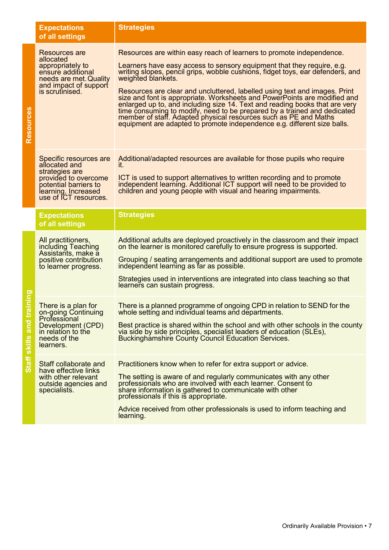|                                     | <b>Expectations</b><br>of all settings                                                                                                                     | <b>Strategies</b>                                                                                                                                                                                                                                                                                                                                                                                                                                                                                                                                                                                                                                                                                                            |
|-------------------------------------|------------------------------------------------------------------------------------------------------------------------------------------------------------|------------------------------------------------------------------------------------------------------------------------------------------------------------------------------------------------------------------------------------------------------------------------------------------------------------------------------------------------------------------------------------------------------------------------------------------------------------------------------------------------------------------------------------------------------------------------------------------------------------------------------------------------------------------------------------------------------------------------------|
| <b>Resources</b>                    | Resources are<br>allocated<br>appropriately to<br>ensure additional<br>needs are met. Quality<br>and impact of support<br>is scrutinised.                  | Resources are within easy reach of learners to promote independence.<br>Learners have easy access to sensory equipment that they require, e.g.<br>writing slopes, pencil grips, wobble cushions, fidget toys, ear defenders, and<br>weighted blankets.<br>Resources are clear and uncluttered, labelled using text and images. Print<br>size and font is appropriate. Worksheets and PowerPoints are modified and<br>enlarged up to, and including size 14. Text and reading books that are very<br>time consuming to modify, need to be prepared by a trained and dedicated<br>member of staff. Adapted physical resources such as PE and Maths<br>equipment are adapted to promote independence e.g. different size balls. |
|                                     | Specific resources are<br>allocated and<br>strategies are<br>provided to overcome<br>potential barriers to<br>learning. Increased<br>use of ICT resources. | Additional/adapted resources are available for those pupils who require<br>it.<br>ICT is used to support alternatives to written recording and to promote<br>independent learning. Additional ICT support will need to be provided to<br>children and young people with visual and hearing impairments.                                                                                                                                                                                                                                                                                                                                                                                                                      |
|                                     | <b>Expectations</b><br>of all settings                                                                                                                     | <b>Strategies</b>                                                                                                                                                                                                                                                                                                                                                                                                                                                                                                                                                                                                                                                                                                            |
|                                     | All practitioners,<br>including Teaching<br>Assistants, make a                                                                                             | Additional adults are deployed proactively in the classroom and their impact<br>on the learner is monitored carefully to ensure progress is supported.                                                                                                                                                                                                                                                                                                                                                                                                                                                                                                                                                                       |
|                                     | positive contribution<br>to learner progress.                                                                                                              | Grouping / seating arrangements and additional support are used to promote<br>independent learning as far as possible.<br>Strategies used in interventions are integrated into class teaching so that<br>learners can sustain progress.                                                                                                                                                                                                                                                                                                                                                                                                                                                                                      |
| <b>Buiule</b><br>Staff skills and t | There is a plan for<br>on-going Continuing<br>Professional<br>Development (CPD)<br>in relation to the<br>needs of the<br>learners.                         | There is a planned programme of ongoing CPD in relation to SEND for the<br>whole setting and individual teams and departments.<br>Best practice is shared within the school and with other schools in the county<br>via side by side principles, specialist leaders of education (SLEs), Buckinghamshire County Council Education Services.                                                                                                                                                                                                                                                                                                                                                                                  |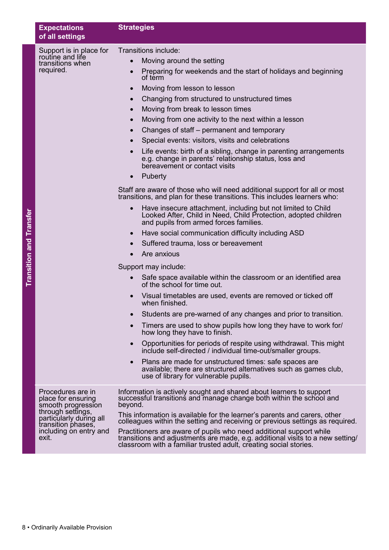|                         | <b>Expectations</b><br>of all settings                                                                                                                                 | <b>Strategies</b>                                                                                                                                                                                                                                                                                                                                                                                                                                                                                                                                                                                                                                                                                                                                                                                                                                                                                                                                                                                                                                                                                                                                                                                                                                                                                                                                                                                                                                                                                                                                                                                                                                                                                                                                                                                                                                                                                                   |  |
|-------------------------|------------------------------------------------------------------------------------------------------------------------------------------------------------------------|---------------------------------------------------------------------------------------------------------------------------------------------------------------------------------------------------------------------------------------------------------------------------------------------------------------------------------------------------------------------------------------------------------------------------------------------------------------------------------------------------------------------------------------------------------------------------------------------------------------------------------------------------------------------------------------------------------------------------------------------------------------------------------------------------------------------------------------------------------------------------------------------------------------------------------------------------------------------------------------------------------------------------------------------------------------------------------------------------------------------------------------------------------------------------------------------------------------------------------------------------------------------------------------------------------------------------------------------------------------------------------------------------------------------------------------------------------------------------------------------------------------------------------------------------------------------------------------------------------------------------------------------------------------------------------------------------------------------------------------------------------------------------------------------------------------------------------------------------------------------------------------------------------------------|--|
| Transition and Transfer | Support is in place for<br>routine and life<br>transitions when<br>required.                                                                                           | Transitions include:<br>Moving around the setting<br>$\bullet$<br>Preparing for weekends and the start of holidays and beginning<br>of term<br>Moving from lesson to lesson<br>$\bullet$<br>Changing from structured to unstructured times<br>$\bullet$<br>Moving from break to lesson times<br>$\bullet$<br>Moving from one activity to the next within a lesson<br>$\bullet$<br>Changes of staff – permanent and temporary<br>$\bullet$<br>Special events: visitors, visits and celebrations<br>$\bullet$<br>Life events: birth of a sibling, change in parenting arrangements<br>$\bullet$<br>e.g. change in parents' relationship status, loss and<br>bereavement or contact visits<br>Puberty<br>$\bullet$<br>Staff are aware of those who will need additional support for all or most<br>transitions, and plan for these transitions. This includes learners who:<br>Have insecure attachment, including but not limited to Child<br>Looked After, Child in Need, Child Protection, adopted children<br>and pupils from armed forces families.<br>Have social communication difficulty including ASD<br>$\bullet$<br>Suffered trauma, loss or bereavement<br>$\bullet$<br>Are anxious<br>Support may include:<br>Safe space available within the classroom or an identified area<br>of the school for time out.<br>Visual timetables are used, events are removed or ticked off<br>when finished.<br>Students are pre-warned of any changes and prior to transition.<br>Timers are used to show pupils how long they have to work for/<br>how long they have to finish.<br>Opportunities for periods of respite using withdrawal. This might<br>$\bullet$<br>include self-directed / individual time-out/smaller groups.<br>Plans are made for unstructured times: safe spaces are<br>$\bullet$<br>available; there are structured alternatives such as games club,<br>use of library for vulnerable pupils. |  |
|                         | Procedures are in<br>place for ensuring<br>smooth progression<br>through settings,<br>particularly during all<br>transition phases,<br>including on entry and<br>exit. | Information is actively sought and shared about learners to support successful transitions and manage change both within the school and<br>beyond.<br>This information is available for the learner's parents and carers, other<br>colleagues within the setting and receiving or previous settings as required.<br>Practitioners are aware of pupils who need additional support while<br>transitions and adjustments are made, e.g. additional visits to a new setting/<br>classroom with a familiar trusted adult, creating social stories.                                                                                                                                                                                                                                                                                                                                                                                                                                                                                                                                                                                                                                                                                                                                                                                                                                                                                                                                                                                                                                                                                                                                                                                                                                                                                                                                                                      |  |
|                         | 8 • Ordinarily Available Provision                                                                                                                                     |                                                                                                                                                                                                                                                                                                                                                                                                                                                                                                                                                                                                                                                                                                                                                                                                                                                                                                                                                                                                                                                                                                                                                                                                                                                                                                                                                                                                                                                                                                                                                                                                                                                                                                                                                                                                                                                                                                                     |  |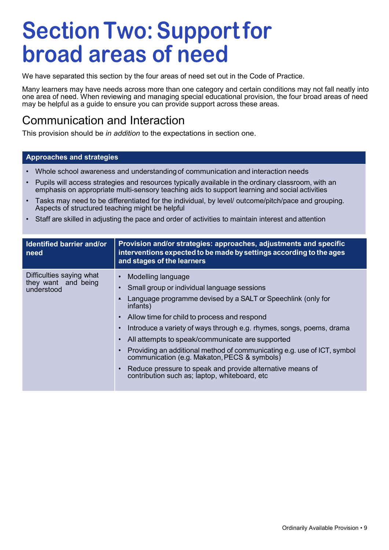# **Section Two: Support for broad areas of need**

We have separated this section by the four areas of need set out in the Code of Practice.

Many learners may have needs across more than one category and certain conditions may not fall neatly into one area of need. When reviewing and managing special educational provision, the four broad areas of need may be helpful as a guide to ensure you can provide support across these areas.

### Communication and Interaction

This provision should be *in addition* to the expectations in section one.

#### **Approaches and strategies**

- Whole school awareness and understanding of communication and interaction needs
- Pupils will access strategies and resources typically available in the ordinary classroom, with an emphasis on appropriate multi-sensory teaching aids to support learning and social activities
- Tasks may need to be differentiated for the individual, by level/ outcome/pitch/pace and grouping. Aspects of structured teaching might be helpful
- Staff are skilled in adjusting the pace and order of activities to maintain interest and attention

| <b>Identified barrier and/or</b><br>need                      | Provision and/or strategies: approaches, adjustments and specific<br>interventions expected to be made by settings according to the ages<br>and stages of the learners                                                                                                                                                                                                                                                                                                                                                                                                                                                                                            |
|---------------------------------------------------------------|-------------------------------------------------------------------------------------------------------------------------------------------------------------------------------------------------------------------------------------------------------------------------------------------------------------------------------------------------------------------------------------------------------------------------------------------------------------------------------------------------------------------------------------------------------------------------------------------------------------------------------------------------------------------|
| Difficulties saying what<br>they want and being<br>understood | Modelling language<br>$\bullet$<br>Small group or individual language sessions<br>$\bullet$<br>Language programme devised by a SALT or Speechlink (only for<br>٠<br>infants)<br>Allow time for child to process and respond<br>$\bullet$<br>Introduce a variety of ways through e.g. rhymes, songs, poems, drama<br>$\bullet$<br>All attempts to speak/communicate are supported<br>$\bullet$<br>Providing an additional method of communicating e.g. use of ICT, symbol<br>$\bullet$<br>communication (e.g. Makaton, PECS & symbols)<br>Reduce pressure to speak and provide alternative means of<br>$\bullet$<br>contribution such as; laptop, whiteboard, etc. |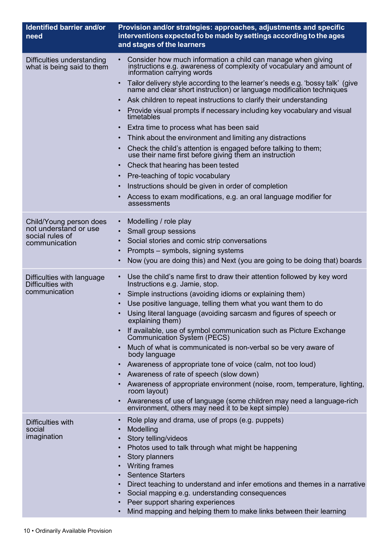| <b>Identified barrier and/or</b><br>need                 | Provision and/or strategies: approaches, adjustments and specific<br>interventions expected to be made by settings according to the ages<br>and stages of the learners           |
|----------------------------------------------------------|----------------------------------------------------------------------------------------------------------------------------------------------------------------------------------|
| Difficulties understanding<br>what is being said to them | Consider how much information a child can manage when giving<br>$\bullet$<br>instructions e.g. awareness of complexity of vocabulary and amount of<br>information carrying words |
|                                                          | Tailor delivery style according to the learner's needs e.g. 'bossy talk' (give<br>name and cléar short instruction) or language modification techniques                          |
|                                                          | Ask children to repeat instructions to clarify their understanding                                                                                                               |
|                                                          | Provide visual prompts if necessary including key vocabulary and visual<br>timetables                                                                                            |
|                                                          | Extra time to process what has been said                                                                                                                                         |
|                                                          | Think about the environment and limiting any distractions                                                                                                                        |
|                                                          | Check the child's attention is engaged before talking to them;<br>use their name first before giving them an instruction                                                         |
|                                                          | Check that hearing has been tested                                                                                                                                               |
|                                                          | Pre-teaching of topic vocabulary                                                                                                                                                 |
|                                                          | Instructions should be given in order of completion                                                                                                                              |
|                                                          | Access to exam modifications, e.g. an oral language modifier for<br>assessments                                                                                                  |
| Child/Young person does                                  | Modelling / role play<br>$\bullet$                                                                                                                                               |
| not understand or use                                    | Small group sessions<br>$\bullet$                                                                                                                                                |
| social rules of<br>communication                         | Social stories and comic strip conversations<br>$\bullet$                                                                                                                        |
|                                                          | Prompts - symbols, signing systems                                                                                                                                               |
|                                                          | Now (you are doing this) and Next (you are going to be doing that) boards                                                                                                        |
| Difficulties with language<br>Difficulties with          | Use the child's name first to draw their attention followed by key word<br>Instructions e.g. Jamie, stop.                                                                        |
| communication                                            | Simple instructions (avoiding idioms or explaining them)                                                                                                                         |
|                                                          | Use positive language, telling them what you want them to do                                                                                                                     |
|                                                          | Using literal language (avoiding sarcasm and figures of speech or<br>explaining them)                                                                                            |
|                                                          | If available, use of symbol communication such as Picture Exchange<br>Communication System (PECS)                                                                                |
|                                                          | Much of what is communicated is non-verbal so be very aware of<br>body language                                                                                                  |
|                                                          | Awareness of appropriate tone of voice (calm, not too loud)                                                                                                                      |
|                                                          | Awareness of rate of speech (slow down)                                                                                                                                          |
|                                                          | Awareness of appropriate environment (noise, room, temperature, lighting,<br>room layout)                                                                                        |
|                                                          | Awareness of use of language (some children may need a language-rich<br>environment, others may need it to be kept simple)                                                       |
| Difficulties with<br>social<br>imagination               | Role play and drama, use of props (e.g. puppets)<br>$\bullet$<br>Modelling<br>Story telling/videos                                                                               |
|                                                          | Photos used to talk through what might be happening                                                                                                                              |
|                                                          | Story planners                                                                                                                                                                   |
|                                                          | <b>Writing frames</b>                                                                                                                                                            |
|                                                          | <b>Sentence Starters</b><br>$\bullet$                                                                                                                                            |
|                                                          | Direct teaching to understand and infer emotions and themes in a narrative<br>Social mapping e.g. understanding consequences                                                     |
|                                                          | Peer support sharing experiences                                                                                                                                                 |
|                                                          | Mind mapping and helping them to make links between their learning                                                                                                               |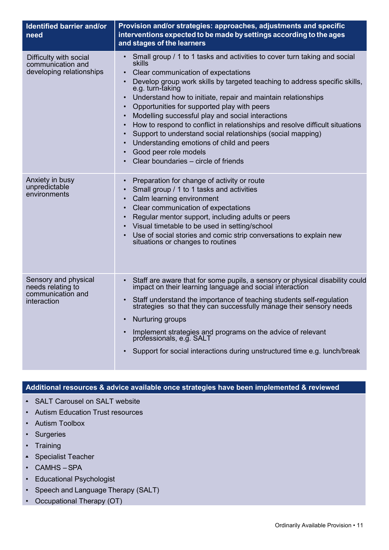| Identified barrier and/or<br>need                                             | Provision and/or strategies: approaches, adjustments and specific<br>interventions expected to be made by settings according to the ages<br>and stages of the learners                                                                                                                                                                                                                                                                                                                                                                                                                                                                                                |
|-------------------------------------------------------------------------------|-----------------------------------------------------------------------------------------------------------------------------------------------------------------------------------------------------------------------------------------------------------------------------------------------------------------------------------------------------------------------------------------------------------------------------------------------------------------------------------------------------------------------------------------------------------------------------------------------------------------------------------------------------------------------|
| Difficulty with social<br>communication and<br>developing relationships       | Small group / 1 to 1 tasks and activities to cover turn taking and social<br><b>skills</b><br>Clear communication of expectations<br>Develop group work skills by targeted teaching to address specific skills,<br>e.g. turn-taking<br>Understand how to initiate, repair and maintain relationships<br>Opportunities for supported play with peers<br>Modelling successful play and social interactions<br>How to respond to conflict in relationships and resolve difficult situations<br>Support to understand social relationships (social mapping)<br>Understanding emotions of child and peers<br>Good peer role models<br>Clear boundaries – circle of friends |
| Anxiety in busy<br>unpredictable<br>environments                              | Preparation for change of activity or route<br>Small group / 1 to 1 tasks and activities<br>Calm learning environment<br>Clear communication of expectations<br>Regular mentor support, including adults or peers<br>Visual timetable to be used in setting/school<br>Use of social stories and comic strip conversations to explain new<br>situations or changes to routines                                                                                                                                                                                                                                                                                         |
| Sensory and physical<br>needs relating to<br>communication and<br>interaction | Staff are aware that for some pupils, a sensory or physical disability could impact on their learning language and social interaction<br>Staff understand the importance of teaching students self-regulation<br>strategies so that they can successfully manage their sensory needs<br>Nurturing groups<br>Implement strategies and programs on the advice of relevant<br>professionals, e.g. SALT<br>Support for social interactions during unstructured time e.g. lunch/break                                                                                                                                                                                      |

#### **Additional resources & advice available once strategies have been implemented & reviewed**

- SALT Carousel on SALT website
- Autism Education Trust resources
- Autism Toolbox
- Surgeries
- Training
- Specialist Teacher
- CAMHS SPA
- Educational Psychologist
- Speech and Language Therapy (SALT)
- Occupational Therapy (OT)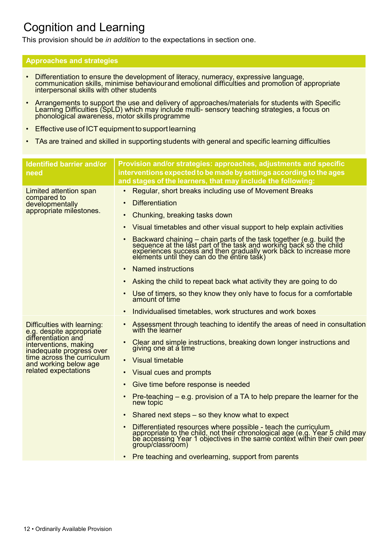## Cognition and Learning

This provision should be *in addition* to the expectations in section one.

#### **Approaches and strategies**

- Differentiation to ensure the development of literacy, numeracy, expressive language, communication skills, minimise behaviourand emotional difficulties and promotion of appropriate interpersonal skills with other studen
- Arrangements to support the use and delivery of approaches/materials for students with Specific<br>Learning Difficulties (SpLD) which may include multi- sensory teaching strategies, a focus on<br>phonological awareness, motor
- Effective use of ICT equipment to support learning
- TAs are trained and skilled in supporting students with general and specific learning difficulties

| <b>Identified barrier and/or</b><br>need                                 | Provision and/or strategies: approaches, adjustments and specific<br>interventions expected to be made by settings according to the ages<br>and stages of the learners, that may include the following:                                 |
|--------------------------------------------------------------------------|-----------------------------------------------------------------------------------------------------------------------------------------------------------------------------------------------------------------------------------------|
| Limited attention span<br>compared to                                    | Regular, short breaks including use of Movement Breaks                                                                                                                                                                                  |
| developmentally                                                          | <b>Differentiation</b><br>$\bullet$                                                                                                                                                                                                     |
| appropriate milestones.                                                  | Chunking, breaking tasks down<br>$\bullet$                                                                                                                                                                                              |
|                                                                          | Visual timetables and other visual support to help explain activities<br>$\bullet$                                                                                                                                                      |
|                                                                          | Backward chaining – chain parts of the task together (e.g. build the sequence at the last part of the task and working back so the child experiences success and then gradually work back to increase more elements until they          |
|                                                                          | <b>Named instructions</b><br>$\bullet$                                                                                                                                                                                                  |
|                                                                          | Asking the child to repeat back what activity they are going to do                                                                                                                                                                      |
|                                                                          | Use of timers, so they know they only have to focus for a comfortable<br>amount of time                                                                                                                                                 |
|                                                                          | Individualised timetables, work structures and work boxes                                                                                                                                                                               |
| Difficulties with learning:<br>e.g. despite appropriate                  | Assessment through teaching to identify the areas of need in consultation<br>$\bullet$<br>with the learner                                                                                                                              |
| differentiation and<br>interventions, making<br>inadequate progress over | Clear and simple instructions, breaking down longer instructions and<br>giving one at a time                                                                                                                                            |
| time across the curriculum<br>and working below age                      | <b>Visual timetable</b><br>$\bullet$                                                                                                                                                                                                    |
| related expectations                                                     | Visual cues and prompts                                                                                                                                                                                                                 |
|                                                                          | Give time before response is needed                                                                                                                                                                                                     |
|                                                                          | Pre-teaching $-$ e.g. provision of a TA to help prepare the learner for the<br>$\bullet$<br>new topic                                                                                                                                   |
|                                                                          | Shared next steps – so they know what to expect<br>$\bullet$                                                                                                                                                                            |
|                                                                          | Differentiated resources where possible - teach the curriculum<br>appropriate to the child, not their chronological age (e.g. Year 5 child may<br>be accessing Year 1 objectives in the same context within their own peer<br>group/cla |
|                                                                          | Pre teaching and overlearning, support from parents                                                                                                                                                                                     |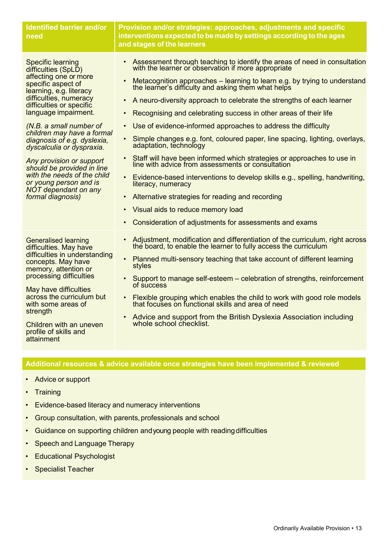| <b>Identified barrier and/or</b><br>need                                                                                                                                                                                                                                                                                                                                                                                                                                                     | Provision and/or strategies: approaches, adjustments and specific<br>interventions expected to be made by settings according to the ages<br>and stages of the learners                                                                                                                                                                                                                                                                                                                                                                                                                                                                                                                                                                                                                                                                                                                                                                                                                                                                                |
|----------------------------------------------------------------------------------------------------------------------------------------------------------------------------------------------------------------------------------------------------------------------------------------------------------------------------------------------------------------------------------------------------------------------------------------------------------------------------------------------|-------------------------------------------------------------------------------------------------------------------------------------------------------------------------------------------------------------------------------------------------------------------------------------------------------------------------------------------------------------------------------------------------------------------------------------------------------------------------------------------------------------------------------------------------------------------------------------------------------------------------------------------------------------------------------------------------------------------------------------------------------------------------------------------------------------------------------------------------------------------------------------------------------------------------------------------------------------------------------------------------------------------------------------------------------|
| <b>Specific learning</b><br>difficulties (SpLD)<br>affecting one or more<br>specific aspect of<br>learning, e.g. literacy<br>difficulties, numeracy<br>difficulties or specific<br>language impairment.<br>(N.B. a small number of<br>children may have a formal<br>diagnosis of e.g. dyslexia,<br>dyscalculia or dyspraxia.<br>Any provision or support<br>should be provided in line<br>with the needs of the child<br>or young person and is<br>NOT dependant on any<br>formal diagnosis) | • Assessment through teaching to identify the areas of need in consultation<br>with the learner or observation if more appropriate<br>Metacognition approaches – learning to learn e.g. by trying to understand<br>the learner's difficulty and asking them what helps<br>A neuro-diversity approach to celebrate the strengths of each learner<br>Recognising and celebrating success in other areas of their life<br>$\bullet$<br>Use of evidence-informed approaches to address the difficulty<br>$\bullet$<br>Simple changes e.g. font, coloured paper, line spacing, lighting, overlays,<br>$\bullet$<br>adaptation, technology<br>Staff will have been informed which strategies or approaches to use in<br>line with advice from assessments or consultation<br>Evidence-based interventions to develop skills e.g., spelling, handwriting,<br>literacy, numeracy<br>Alternative strategies for reading and recording<br>$\bullet$<br>Visual aids to reduce memory load<br>$\bullet$<br>Consideration of adjustments for assessments and exams |
| <b>Generalised learning</b><br>difficulties. May have<br>difficulties in understanding<br>concepts. May have<br>memory, attention or<br>processing difficulties<br>May have difficulties<br>across the curriculum but<br>with some areas of<br>strength<br>Children with an uneven<br>profile of skills and<br>attainment                                                                                                                                                                    | Adjustment, modification and differentiation of the curriculum, right across<br>the board, to enable the learner to fully access the curriculum<br>Planned multi-sensory teaching that take account of different learning<br>styles<br>Support to manage self-esteem – celebration of strengths, reinforcement<br>of success<br>Flexible grouping which enables the child to work with good role models<br>that focuses on functional skills and area of need<br>Advice and support from the British Dyslexia Association including<br>whole school checklist.                                                                                                                                                                                                                                                                                                                                                                                                                                                                                        |

#### **Additional resources & advice available once strategies have been implemented & reviewed**

- Advice or support
- Training
- Evidence-based literacy and numeracy interventions
- Group consultation, with parents, professionals and school
- Guidance on supporting children and young people with reading difficulties
- Speech and Language Therapy
- Educational Psychologist
- Specialist Teacher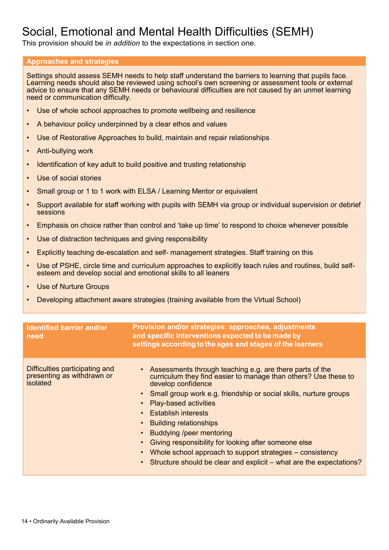## Social, Emotional and Mental Health Difficulties (SEMH)

This provision should be *in addition* to the expectations in section one.

#### **Approaches and strategies**

Settings should assess SEMH needs to help staff understand the barriers to learning that pupils face. Learning needs should also be reviewed using school's own screening or assessment tools or external advice to ensure that any SEMH needs or behavioural difficulties are not caused by an unmet learning need or communication difficulty.

- Use of whole school approaches to promote wellbeing and resilience
- A behaviour policy underpinned by a clear ethos and values
- Use of Restorative Approaches to build, maintain and repair relationships
- Anti-bullying work
- Identification of key adult to build positive and trusting relationship
- Use of social stories
- Small group or 1 to 1 work with ELSA / Learning Mentor or equivalent
- Support available for staff working with pupils with SEMH via group or individual supervision or debrief sessions
- Emphasis on choice rather than control and 'take up time' to respond to choice whenever possible
- Use of distraction techniques and giving responsibility
- Explicitly teaching de-escalation and self- management strategies. Staff training on this
- Use of PSHE, circle time and curriculum approaches to explicitly teach rules and routines, build selfesteem and develop social and emotional skills to all leaners
- Use of Nurture Groups
- Developing attachment aware strategies (training available from the Virtual School)

| <b>Identified barrier and/or</b><br>need                                 | Provision and/or strategies: approaches, adjustments<br>and specific interventions expected to be made by<br>settings according to the ages and stages of the learners                                                                                                                                                                                                                                                                                                                                                                          |
|--------------------------------------------------------------------------|-------------------------------------------------------------------------------------------------------------------------------------------------------------------------------------------------------------------------------------------------------------------------------------------------------------------------------------------------------------------------------------------------------------------------------------------------------------------------------------------------------------------------------------------------|
| Difficulties participating and<br>presenting as withdrawn or<br>isolated | • Assessments through teaching e.g. are there parts of the<br>curriculum they find easier to manage than others? Use these to<br>develop confidence<br>Small group work e.g. friendship or social skills, nurture groups<br><b>Play-based activities</b><br><b>Establish interests</b><br><b>Building relationships</b><br>Buddying /peer mentoring<br>Giving responsibility for looking after someone else<br>Whole school approach to support strategies – consistency<br>Structure should be clear and explicit – what are the expectations? |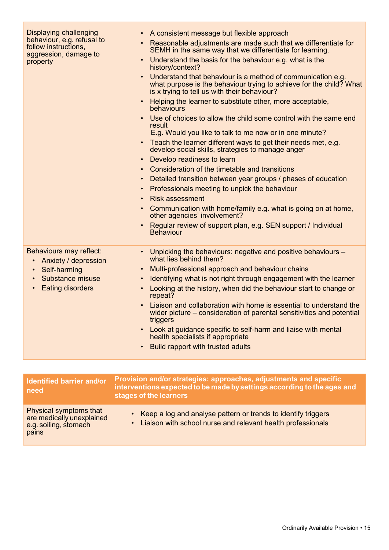| <b>Displaying challenging</b><br>behaviour, e.g. refusal to<br>follow instructions,<br>aggression, damage to<br>property    | A consistent message but flexible approach<br>Reasonable adjustments are made such that we differentiate for<br>SEMH in the same way that we differentiate for learning.<br>Understand the basis for the behaviour e.g. what is the<br>history/context?<br>Understand that behaviour is a method of communication e.g.<br>what purpose is the behaviour trying to achieve for the child? What<br>is x trying to tell us with their behaviour?<br>Helping the learner to substitute other, more acceptable,<br>behaviours<br>Use of choices to allow the child some control with the same end<br>result<br>E.g. Would you like to talk to me now or in one minute?<br>Teach the learner different ways to get their needs met, e.g.<br>develop social skills, strategies to manage anger<br>Develop readiness to learn<br>$\bullet$<br>Consideration of the timetable and transitions<br>Detailed transition between year groups / phases of education<br>$\bullet$<br>Professionals meeting to unpick the behaviour<br>$\bullet$<br><b>Risk assessment</b><br>Communication with home/family e.g. what is going on at home,<br>$\bullet$<br>other agencies' involvement?<br>Regular review of support plan, e.g. SEN support / Individual<br>$\bullet$<br><b>Behaviour</b> |
|-----------------------------------------------------------------------------------------------------------------------------|----------------------------------------------------------------------------------------------------------------------------------------------------------------------------------------------------------------------------------------------------------------------------------------------------------------------------------------------------------------------------------------------------------------------------------------------------------------------------------------------------------------------------------------------------------------------------------------------------------------------------------------------------------------------------------------------------------------------------------------------------------------------------------------------------------------------------------------------------------------------------------------------------------------------------------------------------------------------------------------------------------------------------------------------------------------------------------------------------------------------------------------------------------------------------------------------------------------------------------------------------------------------------|
| Behaviours may reflect:<br>Anxiety / depression<br>$\bullet$<br>Self-harming<br>Substance misuse<br><b>Eating disorders</b> | • Unpicking the behaviours: negative and positive behaviours -<br>what lies behind them?<br>Multi-professional approach and behaviour chains<br>Identifying what is not right through engagement with the learner<br>Looking at the history, when did the behaviour start to change or<br>repeat?<br>Liaison and collaboration with home is essential to understand the<br>wider picture – consideration of parental sensitivities and potential<br>triggers<br>Look at guidance specific to self-harm and liaise with mental<br>health specialists if appropriate<br>Build rapport with trusted adults                                                                                                                                                                                                                                                                                                                                                                                                                                                                                                                                                                                                                                                                    |

| Identified barrier and/or<br>need                                                     | Provision and/or strategies: approaches, adjustments and specific<br>interventions expected to be made by settings according to the ages and<br>stages of the learners |
|---------------------------------------------------------------------------------------|------------------------------------------------------------------------------------------------------------------------------------------------------------------------|
| Physical symptoms that<br>are medically unexplained<br>e.g. soiling, stomach<br>pains | • Keep a log and analyse pattern or trends to identify triggers<br>• Liaison with school nurse and relevant health professionals                                       |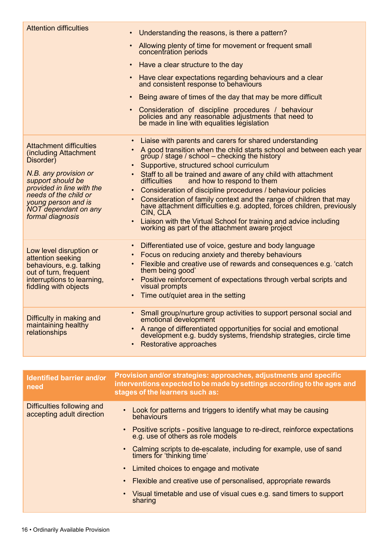| <b>Attention difficulties</b>                                                                                                                            | • Understanding the reasons, is there a pattern?                                                                                                                                                                                                                                                                                                                                              |
|----------------------------------------------------------------------------------------------------------------------------------------------------------|-----------------------------------------------------------------------------------------------------------------------------------------------------------------------------------------------------------------------------------------------------------------------------------------------------------------------------------------------------------------------------------------------|
|                                                                                                                                                          | Allowing plenty of time for movement or frequent small<br>$\bullet$<br>concentration periods                                                                                                                                                                                                                                                                                                  |
|                                                                                                                                                          | Have a clear structure to the day<br>$\bullet$                                                                                                                                                                                                                                                                                                                                                |
|                                                                                                                                                          | Have clear expectations regarding behaviours and a clear<br>$\bullet$<br>and consistent response to behaviours                                                                                                                                                                                                                                                                                |
|                                                                                                                                                          | Being aware of times of the day that may be more difficult<br>$\bullet$                                                                                                                                                                                                                                                                                                                       |
|                                                                                                                                                          | Consideration of discipline procedures / behaviour<br>$\bullet$<br>policies and any reasonable adjustments that need to<br>be made in line with equalities legislation                                                                                                                                                                                                                        |
| <b>Attachment difficulties</b><br>(including Attachment<br>Disorder <sub>)</sub><br>N.B. any provision or                                                | • Liaise with parents and carers for shared understanding<br>A good transition when the child starts school and between each year<br>group / stage / school – checking the history<br>Supportive, structured school curriculum<br>Staff to all be trained and aware of any child with attachment                                                                                              |
| support should be<br>provided in line with the<br>needs of the child or<br>young person and is<br><b>NOT dependant on any</b><br>formal diagnosis        | and how to respond to them<br>difficulties<br>Consideration of discipline procedures / behaviour policies<br>Consideration of family context and the range of children that may<br>have attachment difficulties e.g. adopted, forces children, previously<br>CIN, CLA<br>Liaison with the Virtual School for training and advice including<br>working as part of the attachment aware project |
| Low level disruption or<br>attention seeking<br>behaviours, e.g. talking<br>out of turn, frequent<br>interruptions to learning,<br>fiddling with objects | Differentiated use of voice, gesture and body language<br>$\bullet$<br>Focus on reducing anxiety and thereby behaviours<br>Flexible and creative use of rewards and consequences e.g. 'catch<br>them being good'<br>Positive reinforcement of expectations through verbal scripts and<br>visual prompts<br>Time out/quiet area in the setting                                                 |
| Difficulty in making and<br>maintaining healthy<br>relationships                                                                                         | • Small group/nurture group activities to support personal social and<br>emotional development<br>A range of differentiated opportunities for social and emotional<br>development e.g. buddy systems, friendship strategies, circle time<br>Restorative approaches<br>$\bullet$                                                                                                               |
|                                                                                                                                                          |                                                                                                                                                                                                                                                                                                                                                                                               |
| <b>Identified barrier and/or</b><br>need                                                                                                                 | Provision and/or strategies: approaches, adjustments and specific<br>interventions expected to be made by settings according to the ages and<br>stages of the learners such as:                                                                                                                                                                                                               |
| Difficulties following and<br>accepting adult direction                                                                                                  | Look for patterns and triggers to identify what may be causing<br>behaviours                                                                                                                                                                                                                                                                                                                  |
|                                                                                                                                                          | Positive scripts - positive language to re-direct, reinforce expectations<br>e.g. use of others as role models                                                                                                                                                                                                                                                                                |
|                                                                                                                                                          | Calming scripts to de-escalate, including for example, use of sand<br>timers for 'thinking time'                                                                                                                                                                                                                                                                                              |
|                                                                                                                                                          | Limited choices to engage and motivate                                                                                                                                                                                                                                                                                                                                                        |
|                                                                                                                                                          | Flexible and creative use of personalised, appropriate rewards                                                                                                                                                                                                                                                                                                                                |
|                                                                                                                                                          | Visual timetable and use of visual cues e.g. sand timers to support<br>sharing                                                                                                                                                                                                                                                                                                                |
|                                                                                                                                                          |                                                                                                                                                                                                                                                                                                                                                                                               |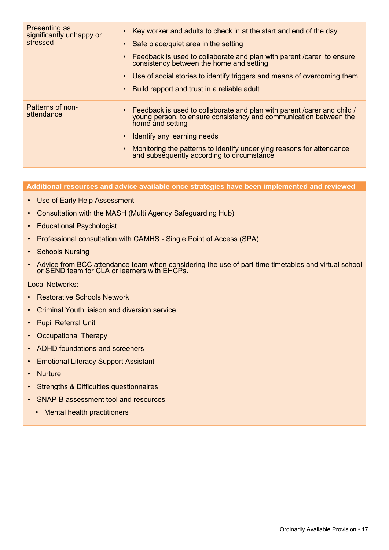| Presenting as<br>significantly unhappy or<br>stressed | Key worker and adults to check in at the start and end of the day<br>• Safe place/quiet area in the setting<br>Feedback is used to collaborate and plan with parent / carer, to ensure<br>consistency between the home and setting<br>Use of social stories to identify triggers and means of overcoming them<br>$\bullet$<br>Build rapport and trust in a reliable adult<br>$\bullet$ |
|-------------------------------------------------------|----------------------------------------------------------------------------------------------------------------------------------------------------------------------------------------------------------------------------------------------------------------------------------------------------------------------------------------------------------------------------------------|
| <b>Patterns of non-</b><br>attendance                 | Feedback is used to collaborate and plan with parent / carer and child /<br>young person, to ensure consistency and communication between the<br>home and setting<br>Identify any learning needs<br>$\bullet$<br>Monitoring the patterns to identify underlying reasons for attendance<br>and subsequently according to circumstance<br>$\bullet$                                      |

#### **Additional resources and advice available once strategies have been implemented and reviewed**

- Use of Early Help Assessment
- Consultation with the MASH (Multi Agency Safeguarding Hub)
- Educational Psychologist
- Professional consultation with CAMHS Single Point of Access (SPA)
- Schools Nursing
- Advice from BCC attendance team when considering the use of part-time timetables and virtual school or SEND team for CLA or learners with EHCPs.

#### Local Networks:

- Restorative Schools Network
- Criminal Youth liaison and diversion service
- Pupil Referral Unit
- Occupational Therapy
- ADHD foundations and screeners
- Emotional Literacy Support Assistant
- Nurture
- Strengths & Difficulties questionnaires
- SNAP-B assessment tool and resources
	- Mental health practitioners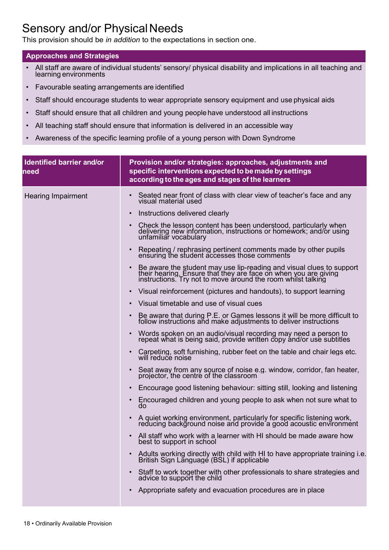## Sensory and/or Physical Needs

This provision should be *in addition* to the expectations in section one.

#### **Approaches and Strategies**

- All staff are aware of individual students' sensory/ physical disability and implications in all teaching and learning environments
- Favourable seating arrangements are identified
- Staff should encourage students to wear appropriate sensory equipment and use physical aids
- Staff should ensure that all children and young peoplehave understood all instructions
- All teaching staff should ensure that information is delivered in an accessible way
- Awareness of the specific learning profile of a young person with Down Syndrome

| Identified barrier and/or<br>need | Provision and/or strategies: approaches, adjustments and<br>specific interventions expected to be made by settings<br>according to the ages and stages of the learners                                                                                                                                                                                                                                                                                                                                                                                                                                                                                                                                                                                                                                                                                                                                                                                                                                                                                                                                                                                                                                                                                                                                                                                                                                                                                                                                                                                                                                                                                                                                                                                                                                                                                                                                                                                                                                                                                                                                                                                                         |
|-----------------------------------|--------------------------------------------------------------------------------------------------------------------------------------------------------------------------------------------------------------------------------------------------------------------------------------------------------------------------------------------------------------------------------------------------------------------------------------------------------------------------------------------------------------------------------------------------------------------------------------------------------------------------------------------------------------------------------------------------------------------------------------------------------------------------------------------------------------------------------------------------------------------------------------------------------------------------------------------------------------------------------------------------------------------------------------------------------------------------------------------------------------------------------------------------------------------------------------------------------------------------------------------------------------------------------------------------------------------------------------------------------------------------------------------------------------------------------------------------------------------------------------------------------------------------------------------------------------------------------------------------------------------------------------------------------------------------------------------------------------------------------------------------------------------------------------------------------------------------------------------------------------------------------------------------------------------------------------------------------------------------------------------------------------------------------------------------------------------------------------------------------------------------------------------------------------------------------|
| <b>Hearing Impairment</b>         | Seated near front of class with clear view of teacher's face and any<br>$\bullet$<br>visual material used<br>Instructions delivered clearly<br>$\bullet$<br>Check the lesson content has been understood, particularly when<br>$\bullet$<br>delivering new information, instructions or homework; and/or using<br>unfamiliar vocabulary<br>Repeating / rephrasing pertinent comments made by other pupils ensuring the student accesses those comments<br>$\bullet$<br>Be aware the student may use lip-reading and visual clues to support<br>their hearing. Ensure that they are face on when you are giving<br>instructions. Try not to move around the room whilst talking<br>Visual reinforcement (pictures and handouts), to support learning<br>$\bullet$<br>Visual timetable and use of visual cues<br>$\bullet$<br>Be aware that during P.E. or Games lessons it will be more difficult to follow instructions and make adjustments to deliver instructions<br>$\bullet$<br>Words spoken on an audio/visual recording may need a person to<br>repeat what is being said, provide written copy and/or use subtitles<br>$\bullet$<br>Carpeting, soft furnishing, rubber feet on the table and chair legs etc.<br>will reduce noise<br>$\bullet$<br>Seat away from any source of noise e.g. window, corridor, fan heater, projector, the centre of the classroom<br>$\bullet$<br>Encourage good listening behaviour: sitting still, looking and listening<br>$\bullet$<br>Encouraged children and young people to ask when not sure what to<br>$\bullet$<br>do<br>A quiet working environment, particularly for specific listening work,<br>reducing background noise and provide a good acoustic environment<br>$\bullet$<br>All staff who work with a learner with HI should be made aware how<br>best to support in school<br>Adults working directly with child with HI to have appropriate training i.e.<br>British Sign Language (BSL) if applicable<br>$\bullet$<br>Staff to work together with other professionals to share strategies and<br>$\bullet$<br>advice to support the child<br>Appropriate safety and evacuation procedures are in place<br>$\bullet$ |
|                                   |                                                                                                                                                                                                                                                                                                                                                                                                                                                                                                                                                                                                                                                                                                                                                                                                                                                                                                                                                                                                                                                                                                                                                                                                                                                                                                                                                                                                                                                                                                                                                                                                                                                                                                                                                                                                                                                                                                                                                                                                                                                                                                                                                                                |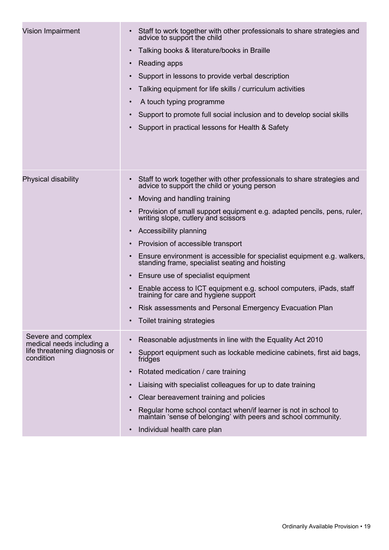| Vision Impairment                                                                             | Staff to work together with other professionals to share strategies and<br>$\bullet$<br>advice to support the child<br>Talking books & literature/books in Braille<br>$\bullet$<br>Reading apps<br>$\bullet$<br>Support in lessons to provide verbal description<br>$\bullet$<br>Talking equipment for life skills / curriculum activities<br>$\bullet$<br>A touch typing programme<br>$\bullet$<br>Support to promote full social inclusion and to develop social skills<br>$\bullet$<br>Support in practical lessons for Health & Safety<br>$\bullet$                                                                                                                                                                                                                                                                                            |
|-----------------------------------------------------------------------------------------------|----------------------------------------------------------------------------------------------------------------------------------------------------------------------------------------------------------------------------------------------------------------------------------------------------------------------------------------------------------------------------------------------------------------------------------------------------------------------------------------------------------------------------------------------------------------------------------------------------------------------------------------------------------------------------------------------------------------------------------------------------------------------------------------------------------------------------------------------------|
| Physical disability                                                                           | Staff to work together with other professionals to share strategies and<br>$\bullet$<br>advice to support the child or young person<br>Moving and handling training<br>$\bullet$<br>Provision of small support equipment e.g. adapted pencils, pens, ruler,<br>$\bullet$<br>writing slope, cutlery and scissors<br>Accessibility planning<br>$\bullet$<br>Provision of accessible transport<br>$\bullet$<br>Ensure environment is accessible for specialist equipment e.g. walkers,<br>$\bullet$<br>standing frame, specialist seating and hoisting<br>Ensure use of specialist equipment<br>$\bullet$<br>Enable access to ICT equipment e.g. school computers, iPads, staff training for care and hygiene support<br>$\bullet$<br>Risk assessments and Personal Emergency Evacuation Plan<br>$\bullet$<br>Toilet training strategies<br>$\bullet$ |
| Severe and complex<br>medical needs including a<br>life threatening diagnosis or<br>condition | Reasonable adjustments in line with the Equality Act 2010<br>$\bullet$<br>Support equipment such as lockable medicine cabinets, first aid bags,<br>$\bullet$<br>fridges<br>Rotated medication / care training<br>$\bullet$<br>Liaising with specialist colleagues for up to date training<br>$\bullet$<br>Clear bereavement training and policies<br>$\bullet$<br>Regular home school contact when/if learner is not in school to<br>$\bullet$<br>maintain 'sense of belonging' with peers and school community.<br>Individual health care plan<br>$\bullet$                                                                                                                                                                                                                                                                                       |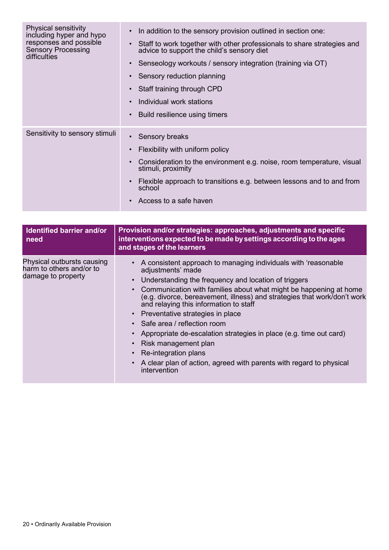| <b>Physical sensitivity</b><br>including hyper and hypo<br>responses and possible<br><b>Sensory Processing</b><br>difficulties | In addition to the sensory provision outlined in section one:<br>$\bullet$<br>Staff to work together with other professionals to share strategies and<br>$\bullet$<br>advice to support the child's sensory diet<br>Senseology workouts / sensory integration (training via OT)<br>$\bullet$<br>Sensory reduction planning<br>$\bullet$<br>Staff training through CPD<br>$\bullet$<br>Individual work stations<br>$\bullet$<br>Build resilience using timers<br>$\bullet$ |
|--------------------------------------------------------------------------------------------------------------------------------|---------------------------------------------------------------------------------------------------------------------------------------------------------------------------------------------------------------------------------------------------------------------------------------------------------------------------------------------------------------------------------------------------------------------------------------------------------------------------|
| Sensitivity to sensory stimuli                                                                                                 | Sensory breaks<br>$\bullet$<br>Flexibility with uniform policy<br>$\bullet$<br>Consideration to the environment e.g. noise, room temperature, visual<br>$\bullet$<br>stimuli, proximity<br>Flexible approach to transitions e.g. between lessons and to and from<br>$\bullet$<br>school<br>Access to a safe haven<br>$\bullet$                                                                                                                                            |

| Identified barrier and/or<br>need                                            | Provision and/or strategies: approaches, adjustments and specific<br>interventions expected to be made by settings according to the ages<br>and stages of the learners                                                                                                                                                                                                                                                                                                                                                                                                                                                     |
|------------------------------------------------------------------------------|----------------------------------------------------------------------------------------------------------------------------------------------------------------------------------------------------------------------------------------------------------------------------------------------------------------------------------------------------------------------------------------------------------------------------------------------------------------------------------------------------------------------------------------------------------------------------------------------------------------------------|
| Physical outbursts causing<br>harm to others and/or to<br>damage to property | A consistent approach to managing individuals with 'reasonable<br>adjustments' made<br>Understanding the frequency and location of triggers<br>Communication with families about what might be happening at home<br>(e.g. divorce, bereavement, illness) and strategies that work/don't work<br>and relaying this information to staff<br>• Preventative strategies in place<br>• Safe area / reflection room<br>Appropriate de-escalation strategies in place (e.g. time out card)<br>Risk management plan<br>Re-integration plans<br>A clear plan of action, agreed with parents with regard to physical<br>intervention |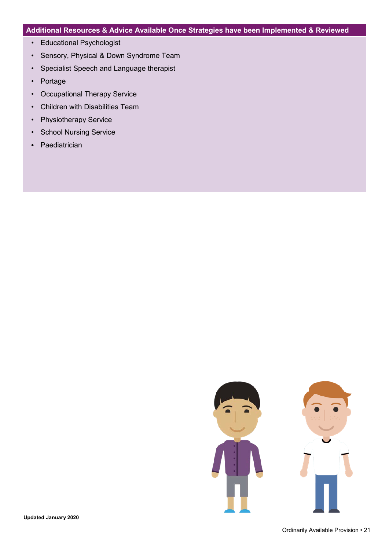#### **Additional Resources & Advice Available Once Strategies have been Implemented & Reviewed**

- Educational Psychologist
- Sensory, Physical & Down Syndrome Team
- Specialist Speech and Language therapist
- Portage
- Occupational Therapy Service
- Children with Disabilities Team
- Physiotherapy Service
- School Nursing Service
- Paediatrician